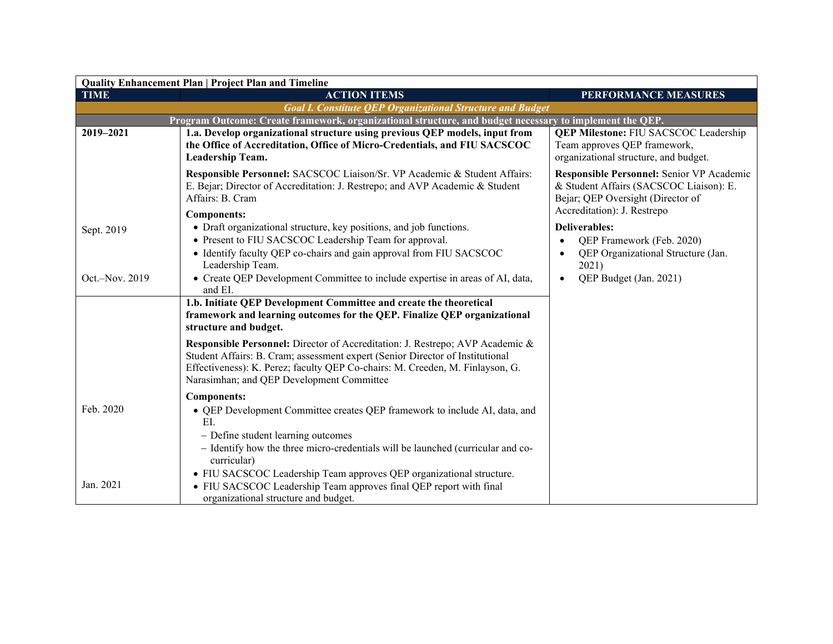| <b>Quality Enhancement Plan   Project Plan and Timeline</b> |                                                                                                                                                                                                                                                                                                                      |                                                                                                                                  |  |
|-------------------------------------------------------------|----------------------------------------------------------------------------------------------------------------------------------------------------------------------------------------------------------------------------------------------------------------------------------------------------------------------|----------------------------------------------------------------------------------------------------------------------------------|--|
| <b>TIME</b>                                                 | <b>ACTION ITEMS</b>                                                                                                                                                                                                                                                                                                  | PERFORMANCE MEASURES                                                                                                             |  |
|                                                             | <b>Goal I. Constitute QEP Organizational Structure and Budget</b>                                                                                                                                                                                                                                                    |                                                                                                                                  |  |
|                                                             | Program Outcome: Create framework, organizational structure, and budget necessary to implement the QEP.                                                                                                                                                                                                              |                                                                                                                                  |  |
| 2019-2021                                                   | 1.a. Develop organizational structure using previous QEP models, input from<br>the Office of Accreditation, Office of Micro-Credentials, and FIU SACSCOC<br>Leadership Team.                                                                                                                                         | <b>QEP Milestone: FIU SACSCOC Leadership</b><br>Team approves QEP framework,<br>organizational structure, and budget.            |  |
|                                                             | Responsible Personnel: SACSCOC Liaison/Sr. VP Academic & Student Affairs:<br>E. Bejar; Director of Accreditation: J. Restrepo; and AVP Academic & Student<br>Affairs: B. Cram                                                                                                                                        | Responsible Personnel: Senior VP Academic<br>& Student Affairs (SACSCOC Liaison): E.<br>Bejar; QEP Oversight (Director of        |  |
|                                                             | Components:                                                                                                                                                                                                                                                                                                          | Accreditation): J. Restrepo                                                                                                      |  |
| Sept. 2019<br>Oct.-Nov. 2019                                | • Draft organizational structure, key positions, and job functions.<br>• Present to FIU SACSCOC Leadership Team for approval.<br>• Identify faculty QEP co-chairs and gain approval from FIU SACSCOC<br>Leadership Team.<br>• Create QEP Development Committee to include expertise in areas of AI, data,<br>and EI. | Deliverables:<br>QEP Framework (Feb. 2020)<br>QEP Organizational Structure (Jan.<br>2021)<br>QEP Budget (Jan. 2021)<br>$\bullet$ |  |
|                                                             | 1.b. Initiate QEP Development Committee and create the theoretical<br>framework and learning outcomes for the QEP. Finalize QEP organizational<br>structure and budget.                                                                                                                                              |                                                                                                                                  |  |
|                                                             | <b>Responsible Personnel:</b> Director of Accreditation: J. Restrepo; AVP Academic &<br>Student Affairs: B. Cram; assessment expert (Senior Director of Institutional<br>Effectiveness): K. Perez; faculty QEP Co-chairs: M. Creeden, M. Finlayson, G.<br>Narasimhan; and QEP Development Committee                  |                                                                                                                                  |  |
|                                                             | <b>Components:</b>                                                                                                                                                                                                                                                                                                   |                                                                                                                                  |  |
| Feb. 2020                                                   | • QEP Development Committee creates QEP framework to include AI, data, and<br>EI.<br>- Define student learning outcomes<br>- Identify how the three micro-credentials will be launched (curricular and co-<br>curricular)<br>• FIU SACSCOC Leadership Team approves QEP organizational structure.                    |                                                                                                                                  |  |
| Jan. 2021                                                   | • FIU SACSCOC Leadership Team approves final QEP report with final<br>organizational structure and budget.                                                                                                                                                                                                           |                                                                                                                                  |  |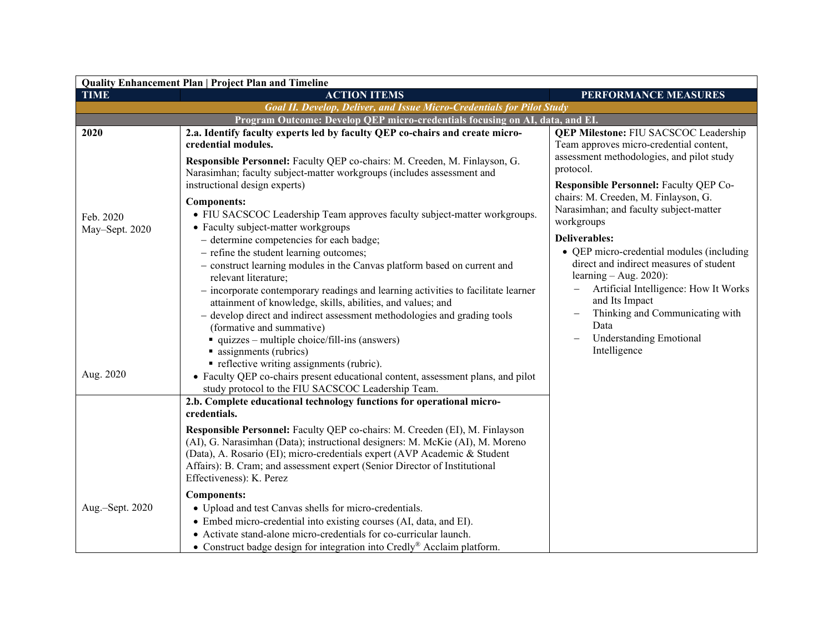| Quality Enhancement Plan   Project Plan and Timeline |                                                                                                                                                                                                                                                                                                                                                                                                                                                                                                                                                                                                                                                                                                                                                                                                               |                                                                                                                                                                                                                                                                          |  |
|------------------------------------------------------|---------------------------------------------------------------------------------------------------------------------------------------------------------------------------------------------------------------------------------------------------------------------------------------------------------------------------------------------------------------------------------------------------------------------------------------------------------------------------------------------------------------------------------------------------------------------------------------------------------------------------------------------------------------------------------------------------------------------------------------------------------------------------------------------------------------|--------------------------------------------------------------------------------------------------------------------------------------------------------------------------------------------------------------------------------------------------------------------------|--|
| <b>TIME</b>                                          | <b>ACTION ITEMS</b>                                                                                                                                                                                                                                                                                                                                                                                                                                                                                                                                                                                                                                                                                                                                                                                           | PERFORMANCE MEASURES                                                                                                                                                                                                                                                     |  |
|                                                      | <b>Goal II. Develop, Deliver, and Issue Micro-Credentials for Pilot Study</b>                                                                                                                                                                                                                                                                                                                                                                                                                                                                                                                                                                                                                                                                                                                                 |                                                                                                                                                                                                                                                                          |  |
|                                                      | Program Outcome: Develop QEP micro-credentials focusing on AI, data, and EI.                                                                                                                                                                                                                                                                                                                                                                                                                                                                                                                                                                                                                                                                                                                                  |                                                                                                                                                                                                                                                                          |  |
| 2020                                                 | 2.a. Identify faculty experts led by faculty QEP co-chairs and create micro-<br>credential modules.                                                                                                                                                                                                                                                                                                                                                                                                                                                                                                                                                                                                                                                                                                           | <b>QEP Milestone: FIU SACSCOC Leadership</b><br>Team approves micro-credential content,                                                                                                                                                                                  |  |
|                                                      | Responsible Personnel: Faculty QEP co-chairs: M. Creeden, M. Finlayson, G.<br>Narasimhan; faculty subject-matter workgroups (includes assessment and                                                                                                                                                                                                                                                                                                                                                                                                                                                                                                                                                                                                                                                          | assessment methodologies, and pilot study<br>protocol.                                                                                                                                                                                                                   |  |
| Feb. 2020<br>May-Sept. 2020                          | instructional design experts)<br><b>Components:</b><br>• FIU SACSCOC Leadership Team approves faculty subject-matter workgroups.<br>• Faculty subject-matter workgroups                                                                                                                                                                                                                                                                                                                                                                                                                                                                                                                                                                                                                                       | Responsible Personnel: Faculty QEP Co-<br>chairs: M. Creeden, M. Finlayson, G.<br>Narasimhan; and faculty subject-matter<br>workgroups<br><b>Deliverables:</b>                                                                                                           |  |
| Aug. 2020                                            | - determine competencies for each badge;<br>- refine the student learning outcomes;<br>- construct learning modules in the Canvas platform based on current and<br>relevant literature;<br>- incorporate contemporary readings and learning activities to facilitate learner<br>attainment of knowledge, skills, abilities, and values; and<br>- develop direct and indirect assessment methodologies and grading tools<br>(formative and summative)<br>$\blacksquare$ quizzes – multiple choice/fill-ins (answers)<br>assignments (rubrics)<br>• reflective writing assignments (rubric).<br>• Faculty QEP co-chairs present educational content, assessment plans, and pilot<br>study protocol to the FIU SACSCOC Leadership Team.<br>2.b. Complete educational technology functions for operational micro- | • QEP micro-credential modules (including<br>direct and indirect measures of student<br>learning $-$ Aug. 2020):<br>Artificial Intelligence: How It Works<br>and Its Impact<br>Thinking and Communicating with<br>Data<br><b>Understanding Emotional</b><br>Intelligence |  |
|                                                      | credentials.<br>Responsible Personnel: Faculty QEP co-chairs: M. Creeden (EI), M. Finlayson<br>(AI), G. Narasimhan (Data); instructional designers: M. McKie (AI), M. Moreno<br>(Data), A. Rosario (EI); micro-credentials expert (AVP Academic & Student<br>Affairs): B. Cram; and assessment expert (Senior Director of Institutional<br>Effectiveness): K. Perez                                                                                                                                                                                                                                                                                                                                                                                                                                           |                                                                                                                                                                                                                                                                          |  |
| Aug.-Sept. 2020                                      | <b>Components:</b><br>• Upload and test Canvas shells for micro-credentials.<br>• Embed micro-credential into existing courses (AI, data, and EI).<br>• Activate stand-alone micro-credentials for co-curricular launch.<br>• Construct badge design for integration into Credly® Acclaim platform.                                                                                                                                                                                                                                                                                                                                                                                                                                                                                                           |                                                                                                                                                                                                                                                                          |  |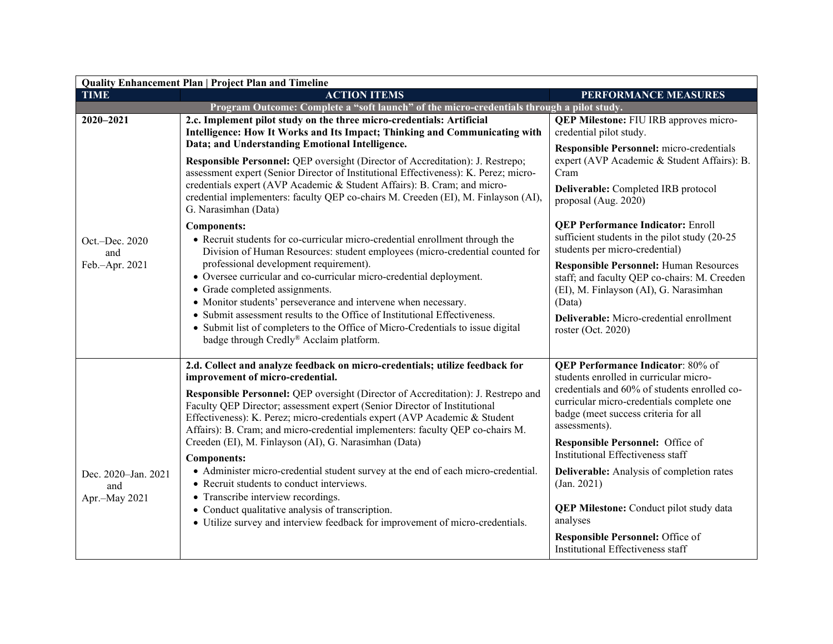| <b>Quality Enhancement Plan   Project Plan and Timeline</b> |                                                                                                                                                                                                                                                                                                                                                                                                                                                    |                                                                                                                                                                                                                                          |  |
|-------------------------------------------------------------|----------------------------------------------------------------------------------------------------------------------------------------------------------------------------------------------------------------------------------------------------------------------------------------------------------------------------------------------------------------------------------------------------------------------------------------------------|------------------------------------------------------------------------------------------------------------------------------------------------------------------------------------------------------------------------------------------|--|
| <b>TIME</b>                                                 | <b>ACTION ITEMS</b>                                                                                                                                                                                                                                                                                                                                                                                                                                | PERFORMANCE MEASURES                                                                                                                                                                                                                     |  |
|                                                             | Program Outcome: Complete a "soft launch" of the micro-credentials through a pilot study.                                                                                                                                                                                                                                                                                                                                                          |                                                                                                                                                                                                                                          |  |
| 2020-2021                                                   | 2.c. Implement pilot study on the three micro-credentials: Artificial<br>Intelligence: How It Works and Its Impact; Thinking and Communicating with<br>Data; and Understanding Emotional Intelligence.                                                                                                                                                                                                                                             | <b>QEP Milestone: FIU IRB approves micro-</b><br>credential pilot study.                                                                                                                                                                 |  |
|                                                             | Responsible Personnel: QEP oversight (Director of Accreditation): J. Restrepo;<br>assessment expert (Senior Director of Institutional Effectiveness): K. Perez; micro-<br>credentials expert (AVP Academic & Student Affairs): B. Cram; and micro-<br>credential implementers: faculty QEP co-chairs M. Creeden (EI), M. Finlayson (AI),<br>G. Narasimhan (Data)                                                                                   | <b>Responsible Personnel:</b> micro-credentials<br>expert (AVP Academic & Student Affairs): B.<br>Cram<br>Deliverable: Completed IRB protocol<br>proposal (Aug. 2020)                                                                    |  |
| Oct.-Dec. 2020<br>and                                       | <b>Components:</b><br>• Recruit students for co-curricular micro-credential enrollment through the<br>Division of Human Resources: student employees (micro-credential counted for                                                                                                                                                                                                                                                                 | <b>QEP Performance Indicator: Enroll</b><br>sufficient students in the pilot study (20-25<br>students per micro-credential)                                                                                                              |  |
| Feb.-Apr. 2021                                              | professional development requirement).<br>• Oversee curricular and co-curricular micro-credential deployment.<br>• Grade completed assignments.<br>• Monitor students' perseverance and intervene when necessary.<br>• Submit assessment results to the Office of Institutional Effectiveness.                                                                                                                                                     | <b>Responsible Personnel: Human Resources</b><br>staff; and faculty QEP co-chairs: M. Creeden<br>(EI), M. Finlayson (AI), G. Narasimhan<br>(Data)                                                                                        |  |
|                                                             | • Submit list of completers to the Office of Micro-Credentials to issue digital<br>badge through Credly® Acclaim platform.                                                                                                                                                                                                                                                                                                                         | Deliverable: Micro-credential enrollment<br>roster (Oct. 2020)                                                                                                                                                                           |  |
|                                                             | 2.d. Collect and analyze feedback on micro-credentials; utilize feedback for<br>improvement of micro-credential.<br>Responsible Personnel: QEP oversight (Director of Accreditation): J. Restrepo and<br>Faculty QEP Director; assessment expert (Senior Director of Institutional<br>Effectiveness): K. Perez; micro-credentials expert (AVP Academic & Student<br>Affairs): B. Cram; and micro-credential implementers: faculty QEP co-chairs M. | <b>QEP Performance Indicator: 80% of</b><br>students enrolled in curricular micro-<br>credentials and 60% of students enrolled co-<br>curricular micro-credentials complete one<br>badge (meet success criteria for all<br>assessments). |  |
|                                                             | Creeden (EI), M. Finlayson (AI), G. Narasimhan (Data)<br><b>Components:</b>                                                                                                                                                                                                                                                                                                                                                                        | Responsible Personnel: Office of<br>Institutional Effectiveness staff                                                                                                                                                                    |  |
| Dec. 2020-Jan. 2021<br>and<br>Apr.-May 2021                 | • Administer micro-credential student survey at the end of each micro-credential.<br>• Recruit students to conduct interviews.<br>• Transcribe interview recordings.                                                                                                                                                                                                                                                                               | Deliverable: Analysis of completion rates<br>(Jan. 2021)                                                                                                                                                                                 |  |
|                                                             | • Conduct qualitative analysis of transcription.<br>• Utilize survey and interview feedback for improvement of micro-credentials.                                                                                                                                                                                                                                                                                                                  | <b>QEP Milestone:</b> Conduct pilot study data<br>analyses                                                                                                                                                                               |  |
|                                                             |                                                                                                                                                                                                                                                                                                                                                                                                                                                    | Responsible Personnel: Office of<br>Institutional Effectiveness staff                                                                                                                                                                    |  |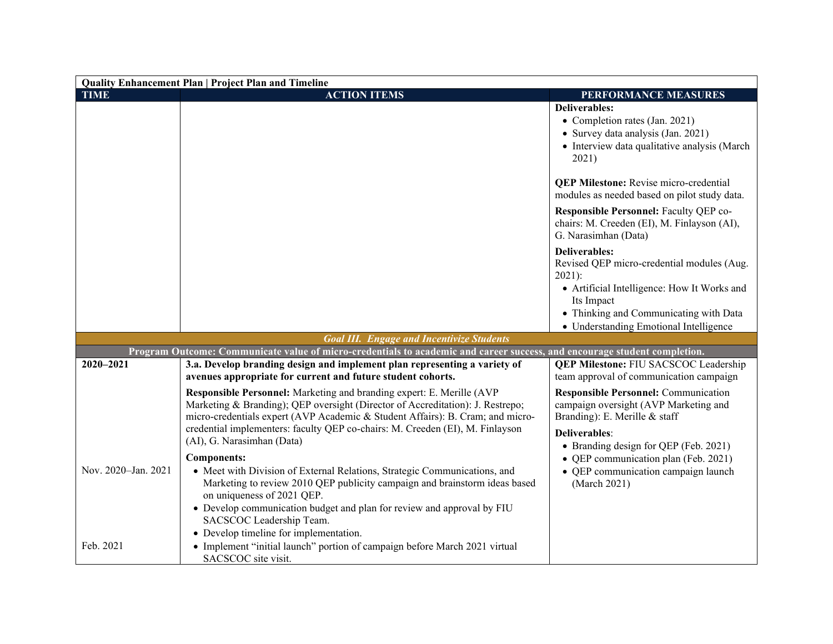| <b>Quality Enhancement Plan   Project Plan and Timeline</b> |                                                                                                                                                                  |                                                                                                               |
|-------------------------------------------------------------|------------------------------------------------------------------------------------------------------------------------------------------------------------------|---------------------------------------------------------------------------------------------------------------|
| <b>TIME</b>                                                 | <b>ACTION ITEMS</b>                                                                                                                                              | PERFORMANCE MEASURES                                                                                          |
|                                                             |                                                                                                                                                                  | <b>Deliverables:</b>                                                                                          |
|                                                             |                                                                                                                                                                  | • Completion rates (Jan. 2021)                                                                                |
|                                                             |                                                                                                                                                                  | • Survey data analysis (Jan. 2021)<br>• Interview data qualitative analysis (March                            |
|                                                             |                                                                                                                                                                  | 2021)                                                                                                         |
|                                                             |                                                                                                                                                                  | <b>QEP Milestone:</b> Revise micro-credential<br>modules as needed based on pilot study data.                 |
|                                                             |                                                                                                                                                                  | Responsible Personnel: Faculty QEP co-<br>chairs: M. Creeden (EI), M. Finlayson (AI),<br>G. Narasimhan (Data) |
|                                                             |                                                                                                                                                                  | <b>Deliverables:</b><br>Revised QEP micro-credential modules (Aug.<br>$2021$ :                                |
|                                                             |                                                                                                                                                                  | • Artificial Intelligence: How It Works and                                                                   |
|                                                             |                                                                                                                                                                  | Its Impact                                                                                                    |
|                                                             |                                                                                                                                                                  | • Thinking and Communicating with Data                                                                        |
|                                                             | <b>Goal III.</b> Engage and Incentivize Students                                                                                                                 | • Understanding Emotional Intelligence                                                                        |
|                                                             | Program Outcome: Communicate value of micro-credentials to academic and career success, and encourage student completion.                                        |                                                                                                               |
| 2020-2021                                                   | 3.a. Develop branding design and implement plan representing a variety of                                                                                        | <b>QEP Milestone: FIU SACSCOC Leadership</b>                                                                  |
|                                                             | avenues appropriate for current and future student cohorts.                                                                                                      | team approval of communication campaign                                                                       |
|                                                             | Responsible Personnel: Marketing and branding expert: E. Merille (AVP                                                                                            | <b>Responsible Personnel: Communication</b>                                                                   |
|                                                             | Marketing & Branding); QEP oversight (Director of Accreditation): J. Restrepo;<br>micro-credentials expert (AVP Academic & Student Affairs): B. Cram; and micro- | campaign oversight (AVP Marketing and<br>Branding): E. Merille & staff                                        |
|                                                             | credential implementers: faculty QEP co-chairs: M. Creeden (EI), M. Finlayson                                                                                    |                                                                                                               |
|                                                             | (AI), G. Narasimhan (Data)                                                                                                                                       | <b>Deliverables:</b><br>• Branding design for QEP (Feb. 2021)                                                 |
|                                                             | <b>Components:</b>                                                                                                                                               | • QEP communication plan (Feb. 2021)                                                                          |
| Nov. 2020-Jan. 2021                                         | • Meet with Division of External Relations, Strategic Communications, and                                                                                        | • QEP communication campaign launch                                                                           |
|                                                             | Marketing to review 2010 QEP publicity campaign and brainstorm ideas based<br>on uniqueness of 2021 QEP.                                                         | (March 2021)                                                                                                  |
|                                                             | • Develop communication budget and plan for review and approval by FIU<br>SACSCOC Leadership Team.                                                               |                                                                                                               |
|                                                             | • Develop timeline for implementation.                                                                                                                           |                                                                                                               |
| Feb. 2021                                                   | • Implement "initial launch" portion of campaign before March 2021 virtual<br>SACSCOC site visit.                                                                |                                                                                                               |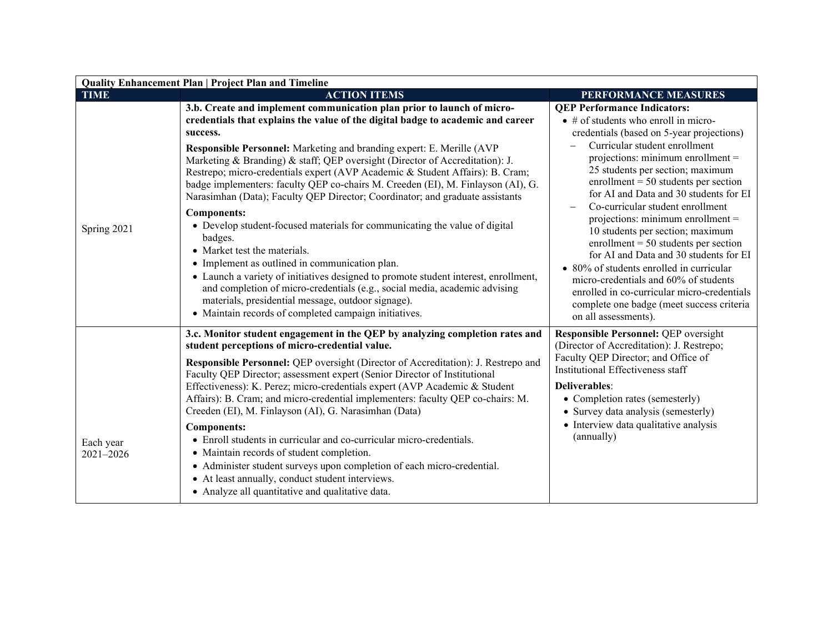| <b>Quality Enhancement Plan   Project Plan and Timeline</b> |                                                                                                                                                                                                                                                                                                                                                                                                                                                                                                                                                                                                                                                                                                                                                                                       |                                                                                                                                                                                                                                                                                                                                                                                                                                                                                                                                                                                                                                                                                                                                                                                            |  |
|-------------------------------------------------------------|---------------------------------------------------------------------------------------------------------------------------------------------------------------------------------------------------------------------------------------------------------------------------------------------------------------------------------------------------------------------------------------------------------------------------------------------------------------------------------------------------------------------------------------------------------------------------------------------------------------------------------------------------------------------------------------------------------------------------------------------------------------------------------------|--------------------------------------------------------------------------------------------------------------------------------------------------------------------------------------------------------------------------------------------------------------------------------------------------------------------------------------------------------------------------------------------------------------------------------------------------------------------------------------------------------------------------------------------------------------------------------------------------------------------------------------------------------------------------------------------------------------------------------------------------------------------------------------------|--|
| <b>TIME</b>                                                 | <b>ACTION ITEMS</b>                                                                                                                                                                                                                                                                                                                                                                                                                                                                                                                                                                                                                                                                                                                                                                   | PERFORMANCE MEASURES                                                                                                                                                                                                                                                                                                                                                                                                                                                                                                                                                                                                                                                                                                                                                                       |  |
| Spring 2021                                                 | 3.b. Create and implement communication plan prior to launch of micro-<br>credentials that explains the value of the digital badge to academic and career<br>success.<br>Responsible Personnel: Marketing and branding expert: E. Merille (AVP<br>Marketing & Branding) & staff; QEP oversight (Director of Accreditation): J.<br>Restrepo; micro-credentials expert (AVP Academic & Student Affairs): B. Cram;<br>badge implementers: faculty QEP co-chairs M. Creeden (EI), M. Finlayson (AI), G.<br>Narasimhan (Data); Faculty QEP Director; Coordinator; and graduate assistants<br><b>Components:</b><br>• Develop student-focused materials for communicating the value of digital<br>badges.<br>• Market test the materials.<br>• Implement as outlined in communication plan. | <b>QEP Performance Indicators:</b><br>$\bullet$ # of students who enroll in micro-<br>credentials (based on 5-year projections)<br>Curricular student enrollment<br>projections: minimum enrollment $=$<br>25 students per section; maximum<br>enrollment = $50$ students per section<br>for AI and Data and 30 students for EI<br>Co-curricular student enrollment<br>projections: minimum enrollment $=$<br>10 students per section; maximum<br>enrollment = $50$ students per section<br>for AI and Data and 30 students for EI<br>• 80% of students enrolled in curricular<br>micro-credentials and 60% of students<br>enrolled in co-curricular micro-credentials<br>complete one badge (meet success criteria<br>on all assessments).<br><b>Responsible Personnel: QEP oversight</b> |  |
|                                                             | • Launch a variety of initiatives designed to promote student interest, enrollment,<br>and completion of micro-credentials (e.g., social media, academic advising<br>materials, presidential message, outdoor signage).<br>• Maintain records of completed campaign initiatives.<br>3.c. Monitor student engagement in the QEP by analyzing completion rates and                                                                                                                                                                                                                                                                                                                                                                                                                      |                                                                                                                                                                                                                                                                                                                                                                                                                                                                                                                                                                                                                                                                                                                                                                                            |  |
|                                                             | student perceptions of micro-credential value.<br><b>Responsible Personnel:</b> QEP oversight (Director of Accreditation): J. Restrepo and                                                                                                                                                                                                                                                                                                                                                                                                                                                                                                                                                                                                                                            | (Director of Accreditation): J. Restrepo;<br>Faculty QEP Director; and Office of                                                                                                                                                                                                                                                                                                                                                                                                                                                                                                                                                                                                                                                                                                           |  |
|                                                             | Faculty QEP Director; assessment expert (Senior Director of Institutional<br>Effectiveness): K. Perez; micro-credentials expert (AVP Academic & Student<br>Affairs): B. Cram; and micro-credential implementers: faculty QEP co-chairs: M.<br>Creeden (EI), M. Finlayson (AI), G. Narasimhan (Data)                                                                                                                                                                                                                                                                                                                                                                                                                                                                                   | Institutional Effectiveness staff<br>Deliverables:<br>• Completion rates (semesterly)<br>• Survey data analysis (semesterly)                                                                                                                                                                                                                                                                                                                                                                                                                                                                                                                                                                                                                                                               |  |
| Each year<br>2021-2026                                      | <b>Components:</b><br>• Enroll students in curricular and co-curricular micro-credentials.<br>• Maintain records of student completion.<br>• Administer student surveys upon completion of each micro-credential.<br>• At least annually, conduct student interviews.<br>• Analyze all quantitative and qualitative data.                                                                                                                                                                                                                                                                                                                                                                                                                                                             | • Interview data qualitative analysis<br>(annually)                                                                                                                                                                                                                                                                                                                                                                                                                                                                                                                                                                                                                                                                                                                                        |  |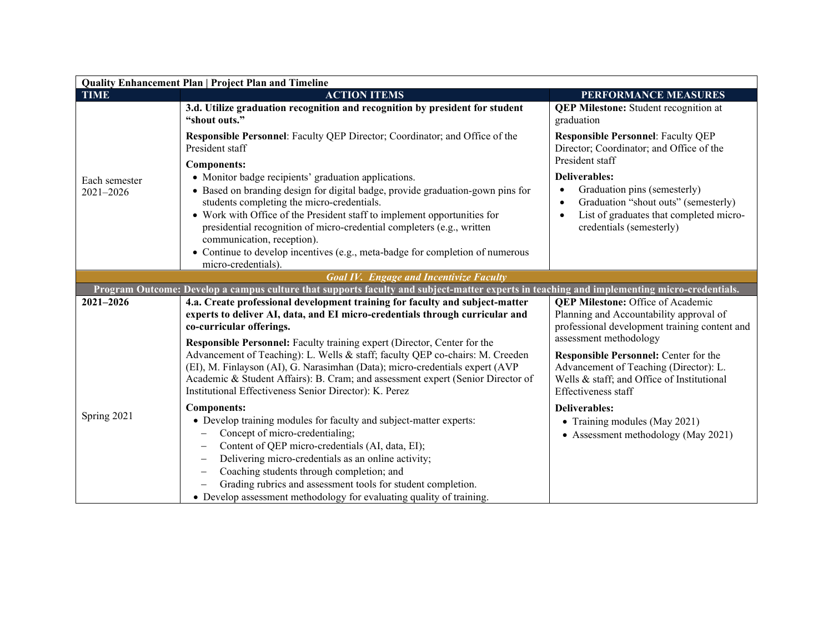| <b>Quality Enhancement Plan   Project Plan and Timeline</b> |                                                                                                                                            |                                                                                       |  |
|-------------------------------------------------------------|--------------------------------------------------------------------------------------------------------------------------------------------|---------------------------------------------------------------------------------------|--|
| <b>TIME</b>                                                 | <b>ACTION ITEMS</b>                                                                                                                        | PERFORMANCE MEASURES                                                                  |  |
|                                                             | 3.d. Utilize graduation recognition and recognition by president for student<br>"shout outs."                                              | <b>QEP Milestone:</b> Student recognition at<br>graduation                            |  |
|                                                             | Responsible Personnel: Faculty QEP Director; Coordinator; and Office of the<br>President staff                                             | <b>Responsible Personnel: Faculty QEP</b><br>Director; Coordinator; and Office of the |  |
|                                                             | Components:                                                                                                                                | President staff                                                                       |  |
| Each semester                                               | • Monitor badge recipients' graduation applications.                                                                                       | <b>Deliverables:</b>                                                                  |  |
| 2021-2026                                                   | • Based on branding design for digital badge, provide graduation-gown pins for<br>students completing the micro-credentials.               | Graduation pins (semesterly)<br>Graduation "shout outs" (semesterly)                  |  |
|                                                             | • Work with Office of the President staff to implement opportunities for                                                                   | List of graduates that completed micro-                                               |  |
|                                                             | presidential recognition of micro-credential completers (e.g., written<br>communication, reception).                                       | credentials (semesterly)                                                              |  |
|                                                             | • Continue to develop incentives (e.g., meta-badge for completion of numerous<br>micro-credentials).                                       |                                                                                       |  |
|                                                             | <b>Goal IV. Engage and Incentivize Faculty</b>                                                                                             |                                                                                       |  |
|                                                             | Program Outcome: Develop a campus culture that supports faculty and subject-matter experts in teaching and implementing micro-credentials. |                                                                                       |  |
| 2021-2026                                                   | 4.a. Create professional development training for faculty and subject-matter                                                               | <b>QEP Milestone: Office of Academic</b>                                              |  |
|                                                             | experts to deliver AI, data, and EI micro-credentials through curricular and                                                               | Planning and Accountability approval of                                               |  |
|                                                             | co-curricular offerings.<br>Responsible Personnel: Faculty training expert (Director, Center for the                                       | professional development training content and<br>assessment methodology               |  |
|                                                             | Advancement of Teaching): L. Wells & staff; faculty QEP co-chairs: M. Creeden                                                              | Responsible Personnel: Center for the                                                 |  |
|                                                             | (EI), M. Finlayson (AI), G. Narasimhan (Data); micro-credentials expert (AVP                                                               | Advancement of Teaching (Director): L.                                                |  |
|                                                             | Academic & Student Affairs): B. Cram; and assessment expert (Senior Director of<br>Institutional Effectiveness Senior Director): K. Perez  | Wells & staff; and Office of Institutional<br>Effectiveness staff                     |  |
|                                                             | <b>Components:</b>                                                                                                                         | <b>Deliverables:</b>                                                                  |  |
| Spring 2021                                                 | • Develop training modules for faculty and subject-matter experts:                                                                         | • Training modules (May 2021)                                                         |  |
|                                                             | Concept of micro-credentialing;                                                                                                            | • Assessment methodology (May 2021)                                                   |  |
|                                                             | Content of QEP micro-credentials (AI, data, EI);                                                                                           |                                                                                       |  |
|                                                             | Delivering micro-credentials as an online activity;                                                                                        |                                                                                       |  |
|                                                             | Coaching students through completion; and                                                                                                  |                                                                                       |  |
|                                                             | Grading rubrics and assessment tools for student completion.                                                                               |                                                                                       |  |
|                                                             | • Develop assessment methodology for evaluating quality of training.                                                                       |                                                                                       |  |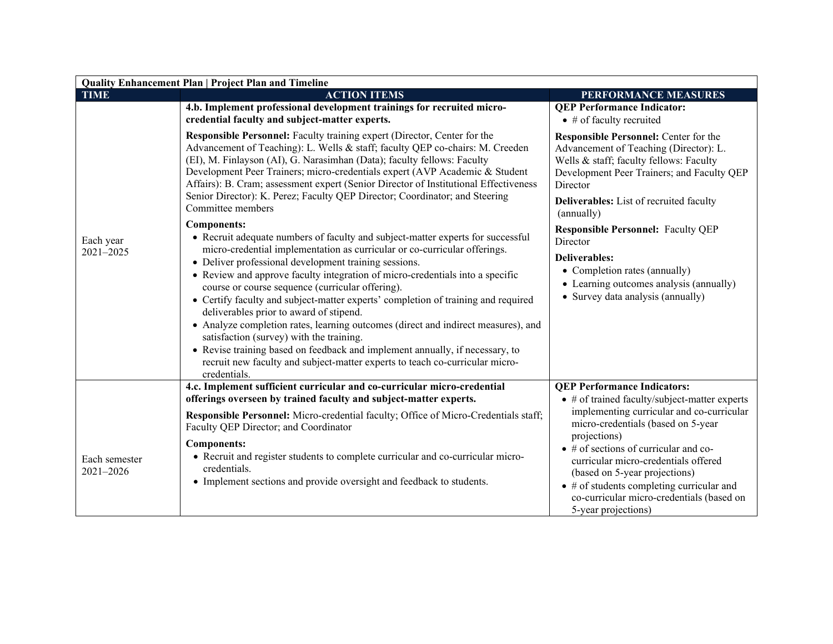| <b>Quality Enhancement Plan   Project Plan and Timeline</b>                                                                                                                                                                                                                                                                                                                                                                                                                                                                                                                                                                                                                                                                                                                                                                                                                                                                                                                                                                                                                                                                                                                                                                                                                                                                   |                                                                                                                                                                                                                                                                                                                                                                                                                                                        |  |  |
|-------------------------------------------------------------------------------------------------------------------------------------------------------------------------------------------------------------------------------------------------------------------------------------------------------------------------------------------------------------------------------------------------------------------------------------------------------------------------------------------------------------------------------------------------------------------------------------------------------------------------------------------------------------------------------------------------------------------------------------------------------------------------------------------------------------------------------------------------------------------------------------------------------------------------------------------------------------------------------------------------------------------------------------------------------------------------------------------------------------------------------------------------------------------------------------------------------------------------------------------------------------------------------------------------------------------------------|--------------------------------------------------------------------------------------------------------------------------------------------------------------------------------------------------------------------------------------------------------------------------------------------------------------------------------------------------------------------------------------------------------------------------------------------------------|--|--|
| <b>ACTION ITEMS</b>                                                                                                                                                                                                                                                                                                                                                                                                                                                                                                                                                                                                                                                                                                                                                                                                                                                                                                                                                                                                                                                                                                                                                                                                                                                                                                           | PERFORMANCE MEASURES                                                                                                                                                                                                                                                                                                                                                                                                                                   |  |  |
| credential faculty and subject-matter experts.                                                                                                                                                                                                                                                                                                                                                                                                                                                                                                                                                                                                                                                                                                                                                                                                                                                                                                                                                                                                                                                                                                                                                                                                                                                                                | <b>QEP Performance Indicator:</b><br>$\bullet$ # of faculty recruited                                                                                                                                                                                                                                                                                                                                                                                  |  |  |
| Responsible Personnel: Faculty training expert (Director, Center for the<br>Advancement of Teaching): L. Wells & staff; faculty QEP co-chairs: M. Creeden<br>(EI), M. Finlayson (AI), G. Narasimhan (Data); faculty fellows: Faculty<br>Development Peer Trainers; micro-credentials expert (AVP Academic & Student<br>Affairs): B. Cram; assessment expert (Senior Director of Institutional Effectiveness<br>Senior Director): K. Perez; Faculty QEP Director; Coordinator; and Steering<br>Committee members<br>Components:<br>• Recruit adequate numbers of faculty and subject-matter experts for successful<br>micro-credential implementation as curricular or co-curricular offerings.<br>• Deliver professional development training sessions.<br>• Review and approve faculty integration of micro-credentials into a specific<br>course or course sequence (curricular offering).<br>• Certify faculty and subject-matter experts' completion of training and required<br>deliverables prior to award of stipend.<br>• Analyze completion rates, learning outcomes (direct and indirect measures), and<br>satisfaction (survey) with the training.<br>• Revise training based on feedback and implement annually, if necessary, to<br>recruit new faculty and subject-matter experts to teach co-curricular micro- | Responsible Personnel: Center for the<br>Advancement of Teaching (Director): L.<br>Wells & staff; faculty fellows: Faculty<br>Development Peer Trainers; and Faculty QEP<br>Director<br><b>Deliverables:</b> List of recruited faculty<br>(annually)<br><b>Responsible Personnel: Faculty QEP</b><br>Director<br><b>Deliverables:</b><br>• Completion rates (annually)<br>• Learning outcomes analysis (annually)<br>• Survey data analysis (annually) |  |  |
| 4.c. Implement sufficient curricular and co-curricular micro-credential                                                                                                                                                                                                                                                                                                                                                                                                                                                                                                                                                                                                                                                                                                                                                                                                                                                                                                                                                                                                                                                                                                                                                                                                                                                       | <b>QEP Performance Indicators:</b><br>• # of trained faculty/subject-matter experts                                                                                                                                                                                                                                                                                                                                                                    |  |  |
| <b>Responsible Personnel:</b> Micro-credential faculty; Office of Micro-Credentials staff;<br>Faculty QEP Director; and Coordinator<br><b>Components:</b><br>• Recruit and register students to complete curricular and co-curricular micro-<br>credentials.<br>• Implement sections and provide oversight and feedback to students.                                                                                                                                                                                                                                                                                                                                                                                                                                                                                                                                                                                                                                                                                                                                                                                                                                                                                                                                                                                          | implementing curricular and co-curricular<br>micro-credentials (based on 5-year<br>projections)<br>$\bullet$ # of sections of curricular and co-<br>curricular micro-credentials offered<br>(based on 5-year projections)<br>$\bullet$ # of students completing curricular and<br>co-curricular micro-credentials (based on<br>5-year projections)                                                                                                     |  |  |
|                                                                                                                                                                                                                                                                                                                                                                                                                                                                                                                                                                                                                                                                                                                                                                                                                                                                                                                                                                                                                                                                                                                                                                                                                                                                                                                               | 4.b. Implement professional development trainings for recruited micro-<br>credentials.<br>offerings overseen by trained faculty and subject-matter experts.                                                                                                                                                                                                                                                                                            |  |  |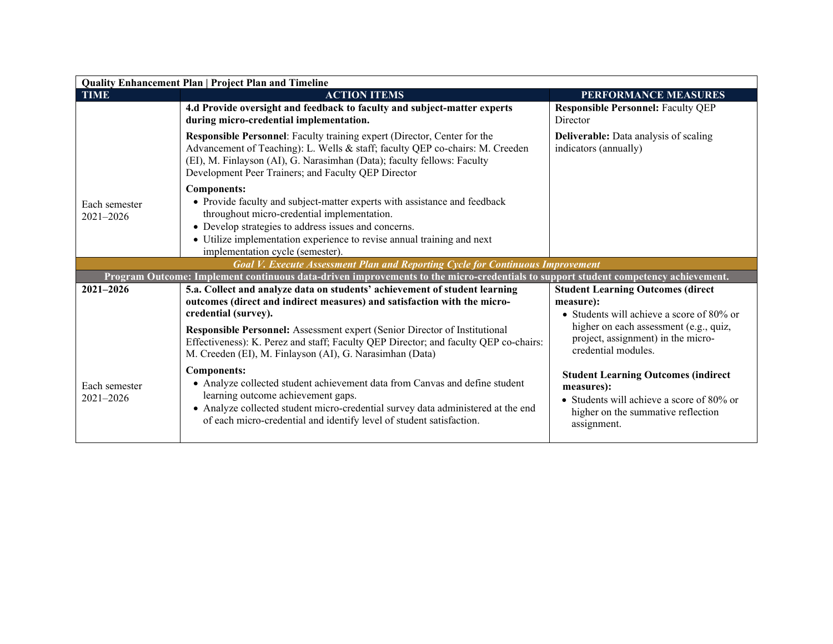| <b>Quality Enhancement Plan   Project Plan and Timeline</b> |                                                                                                                                                                                                                                                                                                                      |                                                                                                                                                            |  |
|-------------------------------------------------------------|----------------------------------------------------------------------------------------------------------------------------------------------------------------------------------------------------------------------------------------------------------------------------------------------------------------------|------------------------------------------------------------------------------------------------------------------------------------------------------------|--|
| <b>TIME</b>                                                 | <b>ACTION ITEMS</b>                                                                                                                                                                                                                                                                                                  | PERFORMANCE MEASURES                                                                                                                                       |  |
|                                                             | 4.d Provide oversight and feedback to faculty and subject-matter experts<br>during micro-credential implementation.                                                                                                                                                                                                  | <b>Responsible Personnel: Faculty QEP</b><br>Director                                                                                                      |  |
|                                                             | Responsible Personnel: Faculty training expert (Director, Center for the<br>Advancement of Teaching): L. Wells & staff; faculty QEP co-chairs: M. Creeden<br>(EI), M. Finlayson (AI), G. Narasimhan (Data); faculty fellows: Faculty<br>Development Peer Trainers; and Faculty QEP Director                          | <b>Deliverable:</b> Data analysis of scaling<br>indicators (annually)                                                                                      |  |
| Each semester<br>$2021 - 2026$                              | <b>Components:</b><br>• Provide faculty and subject-matter experts with assistance and feedback<br>throughout micro-credential implementation.<br>• Develop strategies to address issues and concerns.<br>• Utilize implementation experience to revise annual training and next<br>implementation cycle (semester). |                                                                                                                                                            |  |
|                                                             | Goal V. Execute Assessment Plan and Reporting Cycle for Continuous Improvement                                                                                                                                                                                                                                       |                                                                                                                                                            |  |
|                                                             | Program Outcome: Implement continuous data-driven improvements to the micro-credentials to support student competency achievement.                                                                                                                                                                                   |                                                                                                                                                            |  |
| $2021 - 2026$                                               | 5.a. Collect and analyze data on students' achievement of student learning<br>outcomes (direct and indirect measures) and satisfaction with the micro-<br>credential (survey).                                                                                                                                       | <b>Student Learning Outcomes (direct</b><br>measure):<br>• Students will achieve a score of $80\%$ or                                                      |  |
|                                                             | Responsible Personnel: Assessment expert (Senior Director of Institutional<br>Effectiveness): K. Perez and staff; Faculty QEP Director; and faculty QEP co-chairs:<br>M. Creeden (EI), M. Finlayson (AI), G. Narasimhan (Data)                                                                                       | higher on each assessment (e.g., quiz,<br>project, assignment) in the micro-<br>credential modules.                                                        |  |
| Each semester<br>$2021 - 2026$                              | <b>Components:</b><br>• Analyze collected student achievement data from Canvas and define student<br>learning outcome achievement gaps.<br>• Analyze collected student micro-credential survey data administered at the end<br>of each micro-credential and identify level of student satisfaction.                  | <b>Student Learning Outcomes (indirect</b><br>measures):<br>• Students will achieve a score of 80% or<br>higher on the summative reflection<br>assignment. |  |